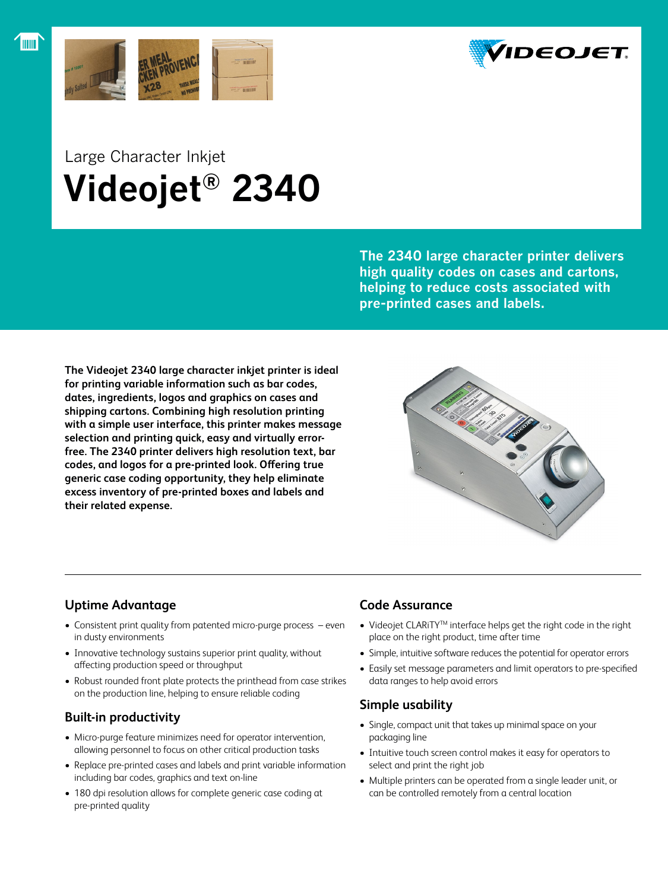



# Large Character Inkjet  **Videojet® 2340**

**The 2340 large character printer delivers high quality codes on cases and cartons, helping to reduce costs associated with pre-printed cases and labels.**

**The Videojet 2340 large character inkjet printer is ideal for printing variable information such as bar codes, dates, ingredients, logos and graphics on cases and shipping cartons. Combining high resolution printing with a simple user interface, this printer makes message selection and printing quick, easy and virtually errorfree. The 2340 printer delivers high resolution text, bar codes, and logos for a pre-printed look. Offering true generic case coding opportunity, they help eliminate excess inventory of pre-printed boxes and labels and their related expense.**



# **Uptime Advantage**

- Consistent print quality from patented micro-purge process even in dusty environments
- Innovative technology sustains superior print quality, without affecting production speed or throughput
- Robust rounded front plate protects the printhead from case strikes on the production line, helping to ensure reliable coding

## **Built-in productivity**

- • Micro-purge feature minimizes need for operator intervention, allowing personnel to focus on other critical production tasks
- Replace pre-printed cases and labels and print variable information including bar codes, graphics and text on-line
- 180 dpi resolution allows for complete generic case coding at pre-printed quality

# **Code Assurance**

- Videojet CLARiTY™ interface helps get the right code in the right place on the right product, time after time
- Simple, intuitive software reduces the potential for operator errors
- Easily set message parameters and limit operators to pre-specified data ranges to help avoid errors

# **Simple usability**

- Single, compact unit that takes up minimal space on your packaging line
- • Intuitive touch screen control makes it easy for operators to select and print the right job
- Multiple printers can be operated from a single leader unit, or can be controlled remotely from a central location